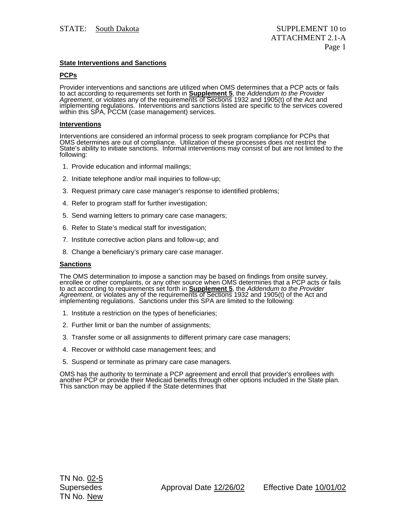# **State Interventions and Sanctions**

# **PCPs**

Provider interventions and sanctions are utilized when OMS determines that a PCP acts or fails to act according to requirements set forth in **Supplement 5**, the *Addendum to the Provider Agreement*, or violates any of the requirements of Sections 1932 and 1905(t) of the Act and<br>implementing regulations. Interventions and sanctions listed are specific to the services covered<br>within this SPA, PCCM (case man

## **Interventions**

Interventions are considered an informal process to seek program compliance for PCPs that OMS determines are out of compliance. Utilization of these processes does not restrict the State's ability to initiate sanctions. Informal interventions may consist of but are not limited to the following:

- 1. Provide education and informal mailings;
- 2. Initiate telephone and/or mail inquiries to follow-up;
- 3. Request primary care case manager's response to identified problems;
- 4. Refer to program staff for further investigation;
- 5. Send warning letters to primary care case managers;
- 6. Refer to State's medical staff for investigation;
- 7. Institute corrective action plans and follow-up; and
- 8. Change a beneficiary's primary care case manager.

## **Sanctions**

The OMS determination to impose a sanction may be based on findings from onsite survey, enrollee or other complaints, or any other source when OMS determines that a PCP acts or fails to act according to requirements set forth in **Supplement 5**, the *Addendum to the Provider Agreement*, or violates any of the requirements of Sections 1932 and 1905(t) of the Act and implementing regulations. Sanctions under this SPA are limited to the following:

- 1. Institute a restriction on the types of beneficiaries;
- 2. Further limit or ban the number of assignments;
- 3. Transfer some or all assignments to different primary care case managers;
- 4. Recover or withhold case management fees; and
- 5. Suspend or terminate as primary care case managers.

OMS has the authority to terminate a PCP agreement and enroll that provider's enrollees with another PCP or provide their Medicaid benefits through other options included in the State plan.<br>This sanction may be applied if